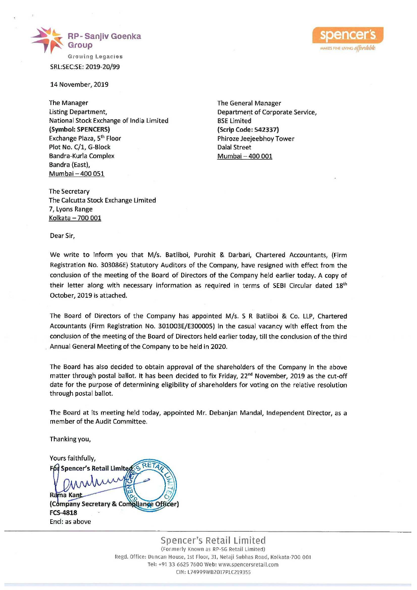



SRL:SEC:SE: 2019-20/99

14 November, 2019

The Manager The Manager The General Manager Listing Department, The Corporate Service, Alexander Service, Department of Corporate Service, National Stock Exchange of India Limited BSE Limited (Symbol: SPENCERS) (Scrip Code: 542337) Exchange Plaza, 5<sup>th</sup> Floor **Philosophia Exchange Plaza, 5<sup>th</sup> Floor** Plot No. C/1, G-Block Dalal Street Bandra-Kurla Complex Mumbai – 400 001 Bandra (East), Mumbai — 400 051

The Secretary The Calcutta Stock Exchange Limited 7, Lyons Range Kolkata — 700 002

Dear Sir,

We write to inform you that M/s. Batliboi, Purohit & Darbari, Chartered Accountants, (Firm Registration No. 303086E) Statutory Auditors of the Company, have resigned with effect from the conclusion of the meeting of the Board of Directors of the Company held earlier today. A copy of their letter along with necessary information as required in terms of SEBI Circular dated 18<sup>th</sup> October, 2019 is attached.

The Board of Directors of the Company has appointed M/s. S R Batliboi & Co. LLP, Chartered Accountants (Firm Registration No. 301003E/E300005) in the casual vacancy with effect from the conclusion of the meeting of the Board of Directors held earlier today, till the conclusion of the third Annual General Meeting of the Company to be held in 2020.

The Board has also decided to obtain approval of the shareholders of the Company in the above matter through postal ballot. It has been decided to fix Friday, 22<sup>nd</sup> November, 2019 as the cut-off date for the purpose of determining eligibility of shareholders for voting on the relative resolution through postal ballot.

The Board at its meeting held today, appointed Mr. Debanjan Mandal, Independent Director, as a member of the Audit Committee.

Thanking you,

Yours faithfully, (Company Secretary & Compliance Officer) FCS-4818 Exchange Plaza, 5<sup>th</sup> Floor CEFAS<br>Exchange Plaza, 5<sup>th</sup> Floor<br>Pictor, C/1, G-Block<br>Bandra-Kurla Complex<br>Bandra-Kurla Complex<br>Bandra-Kurla Complex<br>Bandra-Kurla Complex<br>Bandra-Kurla Complex<br>The Cerclary<br>The Celcutta Stock E Encl: as above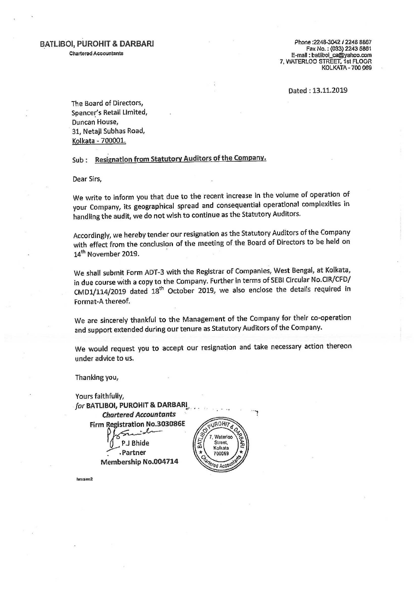## BATLIBOI, PUROHIT & DARBARI Chartered Accountants

Phone :2248-3042 / 2248 8867 Fax No. : (033) 2243 5861<br>E-mail : batliboi\_ca@yahoo.com 7, WATERLOO STREET, 1st FLOOR<br>KOLKATA - 700 069

Dated : 13.11.2019

The Board of Directors, Spencer's Retail Limited, Duncan House, 31, Netaji Subhas Road, Kolkata - 700001.

Sub: Resignation from Statutory Auditors of the Company.

Dear Sirs,

We write to inform you that due to the recent increase in the volume of operation of your Company, its geographical spread and consequential operational complexities in handling the audit, we do not wish to continue as the Statutory Auditors.

Accordingly, we hereby tender our resignation as the Statutory Auditors of the Company with effect from the conclusion of the meeting of the Board of Directors to be held on 14<sup>th</sup> November 2019.

We shall submit Form ADT-3 with the Registrar of Companies, West Bengal, at Kolkata, in due course with a copy to the Company. Further in terms of SEBI Circular No.CIR/CFD/ CMD1/114/2019 dated 18<sup>th</sup> October 2019, we also enclose the details required in Format-A thereof.

We are sincerely thankful to the Management of the Company for their co-operation and support extended during our tenure as Statutory Auditors of the Company.

We would request you to accept our resignation and take necessary action thereon under advice to us.

Thanking you,

Chartered Accountants cn Yours faithfully, for BATLIBOI, PUROHIT & DARBARI Firm Registration No.303086E Kolkata .Partner 700069 Membership No.004714 ed Acc hm:sm:2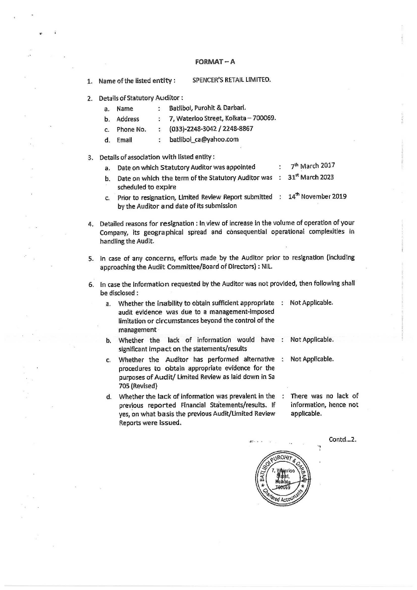## FORMAT ~ A

- 1. Name of the listed entity : SPENCER'S RETAIL LIMITED.
- 2. Details of Statutory Auditor:
	- a. Name : Batliboi, Purohit & Darbari.
	- $b.$ Address : 7, Waterloo Street, Kolkata - 700069.
	- c. Phone No. : (033)-2248-3042 / 2248-8867
	- d Email : batliboi\_ca@yahoo.com
- 3. Details of association with listed entity :
	- a. Date on which Statutory Auditor was appointed 7<sup>th</sup> March 2017
	- Date on which the term of the Statutory Auditor was  $\ddot{\cdot}$ 31\* March 2023 b. scheduled to expire
	- Prior to resignation, Limited Review Report submitted 14<sup>th</sup> November 2019  $\mathbf{C}$ by the Auditor and date of its submission
- Detailed reasons for resignation : In. view of increase in the volume of operation of your Company, its geographical spread and consequential operational complexities in handling the Audit.
- In case of any concerns, efforts made by the Auditor prior to resignation (including approaching the Audit Committee/Board of Directors) : NIL.
- In case the Information requested by the Auditor was not provided, then following shall be disclosed :
	- a. Whether the inability to obtain sufficient appropriate Not Applicable. audit evidence was due to a management-imposed limitation or circumstances beyond the control of the management
	- b. Whether the lack of information would have : significant impact on the statements/results Not Applicable.
	- Whether the Auditor has performed alternative : Not Applicable.  $C<sub>1</sub>$ procedures to obtain appropriate evidence for the purposes of Audit/ Limited Review as laid down in Sa 705 (Revised)
	- Whether the lack of information was prevalent in the previous reported Financial Statements/results. If yes, on what basis the previous Audit/Limited Review Reports were issued. There was no lack of information, hence not applicable.

Contd...2.